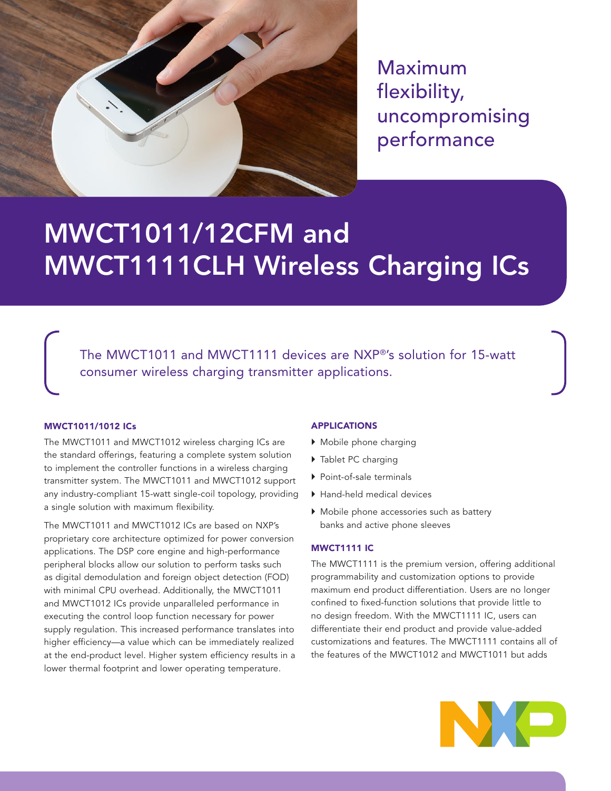

Maximum flexibility, uncompromising performance

# MWCT1011/12CFM and MWCT1111CLH Wireless Charging ICs

The MWCT1011 and MWCT1111 devices are NXP®'s solution for 15-watt consumer wireless charging transmitter applications.

# MWCT1011/1012 ICs

The MWCT1011 and MWCT1012 wireless charging ICs are the standard offerings, featuring a complete system solution to implement the controller functions in a wireless charging transmitter system. The MWCT1011 and MWCT1012 support any industry-compliant 15-watt single-coil topology, providing a single solution with maximum flexibility.

The MWCT1011 and MWCT1012 ICs are based on NXP's proprietary core architecture optimized for power conversion applications. The DSP core engine and high-performance peripheral blocks allow our solution to perform tasks such as digital demodulation and foreign object detection (FOD) with minimal CPU overhead. Additionally, the MWCT1011 and MWCT1012 ICs provide unparalleled performance in executing the control loop function necessary for power supply regulation. This increased performance translates into higher efficiency—a value which can be immediately realized at the end-product level. Higher system efficiency results in a lower thermal footprint and lower operating temperature.

# APPLICATIONS

- } Mobile phone charging
- ▶ Tablet PC charging
- ▶ Point-of-sale terminals
- ▶ Hand-held medical devices
- } Mobile phone accessories such as battery banks and active phone sleeves

#### MWCT1111 IC

The MWCT1111 is the premium version, offering additional programmability and customization options to provide maximum end product differentiation. Users are no longer confined to fixed-function solutions that provide little to no design freedom. With the MWCT1111 IC, users can differentiate their end product and provide value-added customizations and features. The MWCT1111 contains all of the features of the MWCT1012 and MWCT1011 but adds